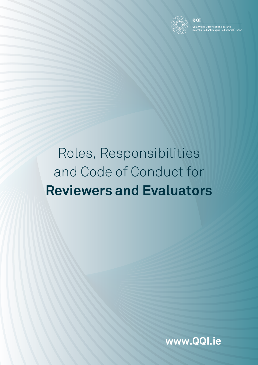

# Roles, Responsibilities and Code of Conduct for **Reviewers and Evaluators**

**www.QQI.ie**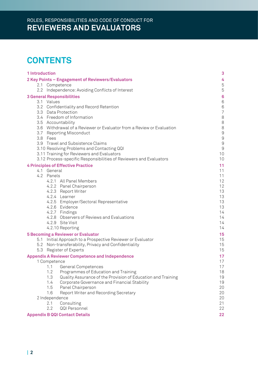# **CONTENTS**

| 1 Introduction |                                                                                             | 3                 |
|----------------|---------------------------------------------------------------------------------------------|-------------------|
|                | 2 Key Points - Engagement of Reviewers/Evaluators<br>2.1 Competence                         | 4<br>$\mathbf 5$  |
|                | 2.2 Independence: Avoiding Conflicts of Interest                                            | $\mathbf 5$       |
|                | <b>3 General Responsibilities</b>                                                           | $\boldsymbol{6}$  |
|                | 3.1 Values                                                                                  | $\,6$             |
|                | 3.2 Confidentiality and Record Retention                                                    | $\,6$             |
|                | 3.3 Data Protection                                                                         | $\overline{7}$    |
|                | 3.4 Freedom of Information                                                                  | $\, 8$            |
|                | 3.5 Accountability<br>3.6 Withdrawal of a Reviewer or Evaluator from a Review or Evaluation | $\, 8$<br>$\,8\,$ |
|                | 3.7 Reporting Misconduct                                                                    | $\Theta$          |
|                | 3.8 Fees                                                                                    | $\Theta$          |
|                | 3.9 Travel and Subsistence Claims                                                           | $\hbox{9}$        |
|                | 3.10 Resolving Problems and Contacting QQI                                                  | $\hbox{9}$        |
|                | 3.11 Training for Reviewers and Evaluators                                                  | 10                |
|                | 3.12 Process-specific Responsibilities of Reviewers and Evaluators                          | 10                |
|                | <b>4 Principles of Effective Practice</b><br>4.1 General                                    | 11<br>11          |
|                | 4.2 Panels                                                                                  | 11                |
|                | 4.2.1 All Panel Members                                                                     | 12                |
|                | 4.2.2 Panel Chairperson                                                                     | 12                |
|                | 4.2.3 Report Writer                                                                         | 13                |
|                | 4.2.4 Learner                                                                               | 13                |
|                | 4.2.5 Employer/Sectoral Representative                                                      | 13                |
|                | 4.2.6 Evidence<br>4.2.7 Findings                                                            | 13<br>14          |
|                | 4.2.8 Observers of Reviews and Evaluations                                                  | 14                |
|                | 4.2.9 Site Visit                                                                            | 14                |
|                | 4.2.10 Reporting                                                                            | 14                |
|                | <b>5 Becoming a Reviewer or Evaluator</b>                                                   | 15                |
|                | 5.1 Initial Approach to a Prospective Reviewer or Evaluator                                 | 15                |
|                | 5.2 Non-transferability, Privacy and Confidentiality                                        | 15                |
|                | 5.3 Register of Experts                                                                     | 15                |
|                | <b>Appendix A Reviewer Competence and Independence</b>                                      | 17                |
|                | 1 Competence<br>1.1 General Competences                                                     | 17<br>17          |
|                | 1.2<br>Programmes of Education and Training                                                 | 18                |
|                | 1.3<br>Quality Assurance of the Provision of Education and Training                         | 19                |
|                | 1.4<br>Corporate Governance and Financial Stability                                         | 19                |
|                | 1.5<br>Panel Chairperson                                                                    | 20                |
|                | 1.6<br>Report Writer and Recording Secretary                                                | 20                |
|                | 2 Independence                                                                              | 20                |
|                | Consulting<br>2.1<br>2.2<br>QQI Personnel                                                   | 21<br>22          |
|                |                                                                                             |                   |
|                | <b>Appendix B QQI Contact Details</b>                                                       | 22                |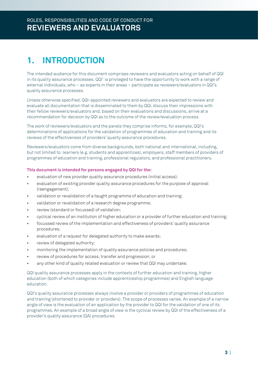# **1. INTRODUCTION**

The intended audience for this document comprises reviewers and evaluators acting on behalf of QQI in its quality assurance processes. QQI<sup>1</sup> is privileged to have the opportunity to work with a range of external individuals, who – as experts in their areas – participate as reviewers/evaluators in QQI's quality assurance processes.

Unless otherwise specified, QQI-appointed reviewers and evaluators are expected to review and evaluate all documentation that is disseminated to them by QQI, discuss their impressions with their fellow reviewers/evaluators and, based on their evaluations and discussions, arrive at a recommendation for decision by QQI as to the outcome of the review/evaluation process.

The work of reviewers/evaluators and the panels they comprise informs, for example, QQI's determinations of applications for the validation of programmes of education and training and its reviews of the effectiveness of providers' quality assurance procedures.

Reviewers/evaluators come from diverse backgrounds, both national and international, including, but not limited to: learners (e.g. students and apprentices), employers, staff members of providers of programmes of education and training, professional regulators, and professional practitioners.

#### **This document is intended for persons engaged by QQI for the:**

- evaluation of new provider quality assurance procedures (initial access);
- evaluation of existing provider quality assurance procedures for the purpose of approval (reengagement);
- validation or revalidation of a taught programme of education and training;
- validation or revalidation of a research degree programme;
- review (standard or focussed) of validation;
- cyclical review of an institution of higher education or a provider of further education and training;
- focussed review of the implementation and effectiveness of providers' quality assurance procedures;
- evaluation of a request for delegated authority to make awards;
- review of delegated authority;
- monitoring the implementation of quality assurance policies and procedures;
- review of procedures for access, transfer and progression; or
- any other kind of quality related evaluation or review that QQI may undertake.

QQI quality assurance processes apply in the contexts of further education and training, higher education (both of which categories include apprenticeship programmes) and English language education.

QQI's quality assurance processes always involve a provider or providers of programmes of education and training (shortened to provider or providers). The scope of processes varies. An example of a narrow angle of view is the evaluation of an application by the provider to QQI for the validation of one of its programmes. An example of a broad angle of view is the cyclical review by QQI of the effectiveness of a provider's quality assurance (QA) procedures.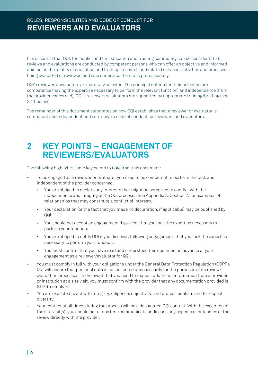It is essential that QQI, the public, and the education and training community can be confident that reviews and evaluations are conducted by competent persons who can offer an objective and informed opinion on the quality of education and training, research and related services, activities and processes being evaluated or reviewed and who undertake their task professionally.

QQI's reviewers/evaluators are carefully selected. The principal criteria for their selection are competence (having the expertise necessary to perform the relevant function) and independence (from the provider concerned). QQI's reviewers/evaluators are supported by appropriate training/briefing (see 3.11 below).

The remainder of this document elaborates on how QQI establishes that a reviewer or evaluator is competent and independent and sets down a code of conduct for reviewers and evaluators.

# **2 KEY POINTS – ENGAGEMENT OF REVIEWERS/EVALUATORS**

The following highlights some key points to take from this document:

- To be engaged as a reviewer or evaluator you need to be competent to perform the task and independent of the provider concerned.
	- You are obliged to declare any interests that might be perceived to conflict with the independence and integrity of the QQI process. (See Appendix A, Section 2, for examples of relationships that may constitute a conflict of interest).
	- Your declaration (or the fact that you made no declaration, if applicable) may be published by QQI.
	- You should not accept an engagement if you feel that you lack the expertise necessary to perform your function.
	- You are obliged to notify QQI if you discover, following engagement, that you lack the expertise necessary to perform your function.
	- You must confirm that you have read and understood this document in advance of your engagement as a reviewer/evaluator for QQI.
- You must comply in full with your obligations under the General Data Protection Regulation (GDPR). QQI will ensure that personal data is not collected unnecessarily for the purposes of its review/ evaluation processes. In the event that you need to request additional information from a provider or institution at a site visit, you must confirm with the provider that any documentation provided is GDPR-compliant.
- You are expected to act with integrity, diligence, objectivity, and professionalism and to respect diversity.
- Your contact at all times during the process will be a designated QQI contact. With the exception of the site visit(s), you should not at any time communicate or discuss any aspects of outcomes of the review directly with the provider.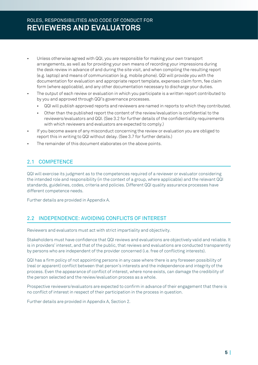# ROLES, RESPONSIBILITIES AND CODE OF CONDUCT FOR **REVIEWERS AND EVALUATORS**

- Unless otherwise agreed with QQI, you are responsible for making your own transport arrangements, as well as for providing your own means of recording your impressions during the desk review in advance of and during the site visit, and when compiling the resulting report (e.g. laptop) and means of communication (e.g. mobile phone). QQI will provide you with the documentation for evaluation and appropriate report template, expenses claim form, fee claim form (where applicable), and any other documentation necessary to discharge your duties.
- The output of each review or evaluation in which you participate is a written report contributed to by you and approved through QQI's governance processes.
	- QQI will publish approved reports and reviewers are named in reports to which they contributed.
	- Other than the published report the content of the review/evaluation is confidential to the reviewers/evaluators and QQI. (See 3.2 for further details of the confidentiality requirements with which reviewers and evaluators are expected to comply.)
- If you become aware of any misconduct concerning the review or evaluation you are obliged to report this in writing to QQI without delay. (See 3.7 for further details.)
- The remainder of this document elaborates on the above points.

### 2.1 COMPETENCE

QQI will exercise its judgment as to the competences required of a reviewer or evaluator considering the intended role and responsibility (in the context of a group, where applicable) and the relevant QQI standards, guidelines, codes, criteria and policies. Different QQI quality assurance processes have different competence needs.

Further details are provided in Appendix A.

# 2.2 INDEPENDENCE: AVOIDING CONFLICTS OF INTEREST

Reviewers and evaluators must act with strict impartiality and objectivity.

Stakeholders must have confidence that QQI reviews and evaluations are objectively valid and reliable. It is in providers' interest, and that of the public, that reviews and evaluations are conducted transparently by persons who are independent of the provider concerned (i.e. free of conflicting interests).

QQI has a firm policy of not appointing persons in any case where there is any foreseen possibility of (real or apparent) conflict between that person's interests and the independence and integrity of the process. Even the appearance of conflict of interest, where none exists, can damage the credibility of the person selected and the review/evaluation process as a whole.

Prospective reviewers/evaluators are expected to confirm in advance of their engagement that there is no conflict of interest in respect of their participation in the process in question.

Further details are provided in Appendix A, Section 2.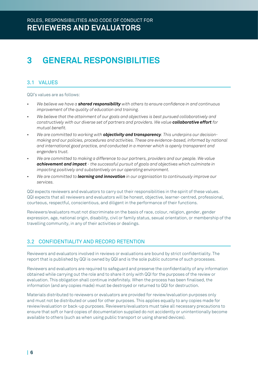# **3 GENERAL RESPONSIBILITIES**

# 3.1 VALUES

QQI's values are as follows:

- *• We believe we have a shared responsibility with others to ensure confidence in and continuous improvement of the quality of education and training.*
- *• We believe that the attainment of our goals and objectives is best pursued collaboratively and constructively with our diverse set of partners and providers. We value collaborative effort for mutual benefit.*
- *• We are committed to working with objectivity and transparency. This underpins our decisionmaking and our policies, procedures and activities. These are evidence-based, informed by national and international good practice, and conducted in a manner which is openly transparent and engenders trust.*
- *• We are committed to making a difference to our partners, providers and our people. We value achievement and impact - the successful pursuit of goals and objectives which culminate in impacting positively and substantively on our operating environment.*
- *• We are committed to learning and innovation in our organisation to continuously improve our services.*

QQI expects reviewers and evaluators to carry out their responsibilities in the spirit of these values. QQI expects that all reviewers and evaluators will be honest, objective, learner-centred, professional, courteous, respectful, conscientious, and diligent in the performance of their functions.

Reviewers/evaluators must not discriminate on the basis of race, colour, religion, gender, gender expression, age, national origin, disability, civil or family status, sexual orientation, or membership of the travelling community, in any of their activities or dealings.

# 3.2 CONFIDENTIALITY AND RECORD RETENTION

Reviewers and evaluators involved in reviews or evaluations are bound by strict confidentiality. The report that is published by QQI is owned by QQI and is the sole public outcome of such processes.

Reviewers and evaluators are required to safeguard and preserve the confidentiality of any information obtained while carrying out the role and to share it only with QQI for the purposes of the review or evaluation. This obligation shall continue indefinitely. When the process has been finalised, the information (and any copies made) must be destroyed or returned to QQI for destruction.

Materials distributed to reviewers or evaluators are provided for review/evaluation purposes only and must not be distributed or used for other purposes. This applies equally to any copies made for review/evaluation or back-up purposes. Reviewers/evaluators must take all necessary precautions to ensure that soft or hard copies of documentation supplied do not accidently or unintentionally become available to others (such as when using public transport or using shared devices).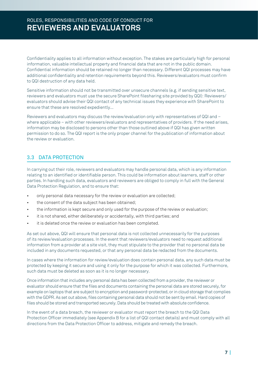Confidentiality applies to all information without exception. The stakes are particularly high for personal information, valuable intellectual property and financial data that are not in the public domain. Confidential information should be retained no longer than necessary. Different QQI processes may have additional confidentiality and retention requirements beyond this. Reviewers/evaluators must confirm to QQI destruction of any data held.

Sensitive information should not be transmitted over unsecure channels (e.g. if sending sensitive text, reviewers and evaluators must use the secure SharePoint filesharing site provided by QQI): Reviewers/ evaluators should advise their QQI contact of any technical issues they experience with SharePoint to ensure that these are resolved expediently...

Reviewers and evaluators may discuss the review/evaluation only with representatives of QQI and – where applicable – with other reviewers/evaluators and representatives of providers. If the need arises, information may be disclosed to persons other than those outlined above if QQI has given written permission to do so. The QQI report is the only proper channel for the publication of information about the review or evaluation.

# 3.3 DATA PROTECTION

In carrying out their role, reviewers and evaluators may handle personal data, which is any information relating to an identified or identifiable person. This could be information about learners, staff or other parties. In handling such data, evaluators and reviewers are obliged to comply in full with the General Data Protection Regulation, and to ensure that:

- only personal data necessary for the review or evaluation are collected;
- the consent of the data subject has been obtained;
- the information is kept secure and only used for the purpose of the review or evaluation;
- it is not shared, either deliberately or accidentally, with third parties; and
- it is deleted once the review or evaluation has been completed.

As set out above, QQI will ensure that personal data is not collected unnecessarily for the purposes of its review/evaluation processes. In the event that reviewers/evaluators need to request additional information from a provider at a site visit, they must stipulate to the provider that no personal data be included in any documents requested, or that any personal data be redacted from the documents.

In cases where the information for review/evaluation does contain personal data, any such data must be protected by keeping it secure and using it only for the purpose for which it was collected. Furthermore, such data must be deleted as soon as it is no longer necessary.

Once information that includes any personal data has been collected from a provider, the reviewer or evaluator should ensure that the files and documents containing the personal data are stored securely, for example on laptops that are subject to encryption and password-protected, or in cloud storage that complies with the GDPR. As set out above, files containing personal data should not be sent by email. Hard copies of files should be stored and transported securely. Data should be treated with absolute confidence.

In the event of a data breach, the reviewer or evaluator must report the breach to the QQI Data Protection Officer immediately (see Appendix B for a list of QQI contact details) and must comply with all directions from the Data Protection Officer to address, mitigate and remedy the breach.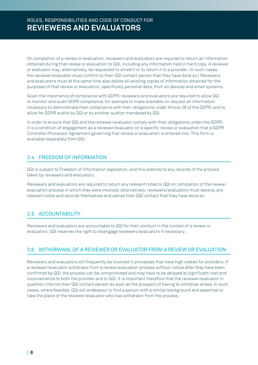On completion of a review or evaluation, reviewers and evaluators are required to return all information obtained during that review or evaluation to QQI, including any information held in hard copy. A reviewer or evaluator may, alternatively, be requested to shred it or to return it to a provider. (In such cases, the reviewer/evaluator must confirm to their QQI contact person that they have done so.) Reviewers and evaluators must at the same time also delete all existing copies of information obtained for the purposes of that review or evaluation, specifically personal data, from all devices and email systems.

Given the importance of compliance with GDPR, reviewers and evaluators are required to allow QQI to monitor and audit GDPR compliance, for example to make available on request all information necessary to demonstrate their compliance with their obligations under Article 28 of the GDPR, and to allow for GDPR audits by QQI or by another auditor mandated by QQI.

In order to ensure that QQI and the reviewer/evaluator comply with their obligations under the GDPR, it is a condition of engagement as a reviewer/evaluator on a specific review or evaluation that a GDPR Controller/Processor Agreement governing that review or evaluation is entered into. This form is available separately from QQI.

### 3.4 FREEDOM OF INFORMATION

QQI is subject to Freedom of Information legislation, and this extends to any records of the process taken by reviewers and evaluators.

Reviewers and evaluators are required to return any relevant notes to QQI on completion of the review/ evaluation process in which they were involved; alternatively, reviewers/evaluators must destroy any relevant notes and records themselves and advise their QQI contact that they have done so.

# 3.5 ACCOUNTABILITY

Reviewers and evaluators are accountable to QQI for their conduct in the context of a review or evaluation. QQI reserves the right to disengage reviewers/evaluators if necessary.

### 3.6 WITHDRAWAL OF A REVIEWER OR EVALUATOR FROM A REVIEW OR EVALUATION

Reviewers and evaluators will frequently be involved in processes that have high stakes for providers. If a reviewer/evaluator withdraws from a review/evaluation process without notice after they have been confirmed by QQI, the process can be compromised and may have to be delayed at significant cost and inconvenience to both the provider and to QQI. It is important therefore that the reviewer/evaluator in question informs their QQI contact person as soon as the prospect of having to withdraw arises. In such cases, where feasible, QQI will endeavour to find a person with a similar background and expertise to take the place of the reviewer/evaluator who has withdrawn from the process.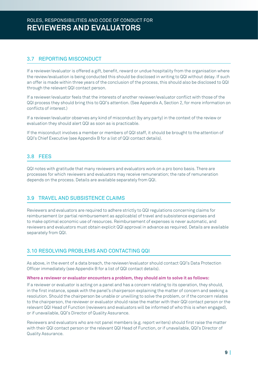# 3.7 REPORTING MISCONDUCT

If a reviewer/evaluator is offered a gift, benefit, reward or undue hospitality from the organisation where the review/evaluation is being conducted this should be disclosed in writing to QQI without delay. If such an offer is made within three years of the conclusion of the process, this should also be disclosed to QQI through the relevant QQI contact person.

If a reviewer/evaluator feels that the interests of another reviewer/evaluator conflict with those of the QQI process they should bring this to QQI's attention. (See Appendix A, Section 2, for more information on conflicts of interest.)

If a reviewer/evaluator observes any kind of misconduct (by any party) in the context of the review or evaluation they should alert QQI as soon as is practicable.

If the misconduct involves a member or members of QQI staff, it should be brought to the attention of QQI's Chief Executive (see Appendix B for a list of QQI contact details).

# 3.8 FEES

QQI notes with gratitude that many reviewers and evaluators work on a pro bono basis. There are processes for which reviewers and evaluators may receive remuneration; the rate of remuneration depends on the process. Details are available separately from QQI.

# 3.9 TRAVEL AND SUBSISTENCE CLAIMS

Reviewers and evaluators are required to adhere strictly to QQI regulations concerning claims for reimbursement (or partial reimbursement as applicable) of travel and subsistence expenses and to make optimal economic use of resources. Reimbursement of expenses is never automatic, and reviewers and evaluators must obtain explicit QQI approval in advance as required. Details are available separately from QQI.

# 3.10 RESOLVING PROBLEMS AND CONTACTING QQI

As above, in the event of a data breach, the reviewer/evaluator should contact QQI's Data Protection Officer immediately (see Appendix B for a list of QQI contact details).

#### **Where a reviewer or evaluator encounters a problem, they should aim to solve it as follows:**

If a reviewer or evaluator is acting on a panel and has a concern relating to its operation, they should, in the first instance, speak with the panel's chairperson explaining the matter of concern and seeking a resolution. Should the chairperson be unable or unwilling to solve the problem, or if the concern relates to the chairperson, the reviewer or evaluator should raise the matter with their QQI contact person or the relevant QQI Head of Function (reviewers and evaluators will be informed of who this is when engaged), or if unavailable, QQI's Director of Quality Assurance.

Reviewers and evaluators who are not panel members (e.g. report writers) should first raise the matter with their QQI contact person or the relevant QQI Head of Function, or if unavailable, QQI's Director of Quality Assurance.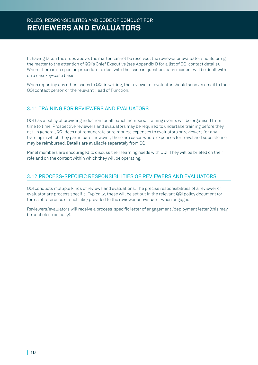If, having taken the steps above, the matter cannot be resolved, the reviewer or evaluator should bring the matter to the attention of QQI's Chief Executive (see Appendix B for a list of QQI contact details). Where there is no specific procedure to deal with the issue in question, each incident will be dealt with on a case-by-case basis.

When reporting any other issues to QQI in writing, the reviewer or evaluator should send an email to their QQI contact person or the relevant Head of Function.

# 3.11 TRAINING FOR REVIEWERS AND EVALUATORS

QQI has a policy of providing induction for all panel members. Training events will be organised from time to time. Prospective reviewers and evaluators may be required to undertake training before they act. In general, QQI does not remunerate or reimburse expenses to evaluators or reviewers for any training in which they participate; however, there are cases where expenses for travel and subsistence may be reimbursed. Details are available separately from QQI.

Panel members are encouraged to discuss their learning needs with QQI. They will be briefed on their role and on the context within which they will be operating.

# 3.12 PROCESS-SPECIFIC RESPONSIBILITIES OF REVIEWERS AND EVALUATORS

QQI conducts multiple kinds of reviews and evaluations. The precise responsibilities of a reviewer or evaluator are process specific. Typically, these will be set out in the relevant QQI policy document (or terms of reference or such like) provided to the reviewer or evaluator when engaged.

Reviewers/evaluators will receive a process-specific letter of engagement /deployment letter (this may be sent electronically).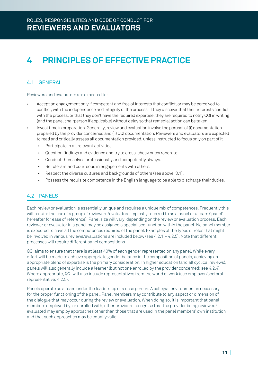# **4 PRINCIPLES OF EFFECTIVE PRACTICE**

# 4.1 GENERAL

Reviewers and evaluators are expected to:

- Accept an engagement only if competent and free of interests that conflict, or may be perceived to conflict, with the independence and integrity of the process. If they discover that their interests conflict with the process, or that they don't have the required expertise, they are required to notify QQI in writing (and the panel chairperson if applicable) without delay so that remedial action can be taken.
- Invest time in preparation. Generally, review and evaluation involve the perusal of (i) documentation prepared by the provider concerned and (ii) QQI documentation. Reviewers and evaluators are expected to read and critically assess all documentation provided, unless instructed to focus only on part ofit*.* 
	- Participate in all relevant activities.
	- Question findings and evidence and try to cross-check or corroborate.
	- Conduct themselves professionally and competently always.
	- Be tolerant and courteous in engagements with others.
	- Respect the diverse cultures and backgrounds of others (see above, 3.1).
	- Possess the requisite competence in the English language to be able to discharge their duties.

# 4.2 PANELS

Each review or evaluation is essentially unique and requires a unique mix of competences. Frequently this will require the use of a group of reviewers/evaluators, typically referred to as a panel or a team ('panel' hereafter for ease of reference). Panel size will vary, depending on the review or evaluation process. Each reviewer or evaluator in a panel may be assigned a specialised function within the panel. No panel member is expected to have all the competences required of the panel. Examples of the types of roles that might be involved in various reviews/evaluations are included below (see 4.2.1 – 4.2.5). Note that different processes will require different panel compositions.

QQI aims to ensure that there is at least 40% of each gender represented on any panel. While every effort will be made to achieve appropriate gender balance in the composition of panels, achieving an appropriate blend of expertise is the primary consideration. In higher education (and all cyclical reviews), panels will also generally include a learner (but not one enrolled by the provider concerned; see 4.2.4). Where appropriate, QQI will also include representatives from the world of work (see employer/sectoral representative; 4.2.5).

Panels operate as a team under the leadership of a chairperson. A collegial environment is necessary for the proper functioning of the panel. Panel members may contribute to any aspect or dimension of the dialogue that may occur during the review or evaluation. When doing so, it is important that panel members employed by, or enrolled with, other providers recognise that the provider being reviewed/ evaluated may employ approaches other than those that are used in the panel members' own institution and that such approaches may be equally valid.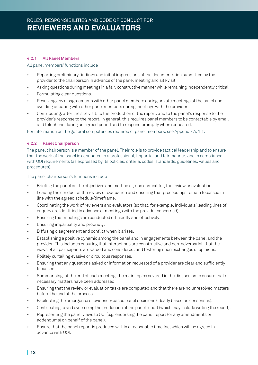#### **4.2.1 All Panel Members**

#### All panel members' functions include

- Reporting preliminary findings and initial impressions of the documentation submitted by the provider to the chairperson in advance of the panel meeting and site visit.
- Asking questions during meetings in a fair, constructive manner while remaining independently critical.
- Formulating clear questions.
- Resolving any disagreements with other panel members during private meetings of the panel and avoiding debating with other panel members during meetings with the provider.
- Contributing, after the site visit, to the production of the report, and to the panel's response to the provider's response to the report. In general, this requires panel members to be contactable by email and telephone during an agreed period and to respond promptly when requested.

For information on the general competences required of panel members, see Appendix A, 1.1.

#### **4.2.2 Panel Chairperson**

The panel chairperson is a member of the panel. Their role is to provide tactical leadership and to ensure that the work of the panel is conducted in a professional, impartial and fair manner, and in compliance with QQI requirements (as expressed by its policies, criteria, codes, standards, guidelines, values and procedures).

The panel chairperson's functions include

- Briefing the panel on the objectives and method of, and context for, the review or evaluation.
- Leading the conduct of the review or evaluation and ensuring that proceedings remain focussed in line with the agreed schedule/timeframe.
- Coordinating the work of reviewers and evaluators (so that, for example, individuals' leading lines of enquiry are identified in advance of meetings with the provider concerned).
- Ensuring that meetings are conducted efficiently and effectively.
- Ensuring impartiality and propriety.
- Diffusing disagreement and conflict when it arises.
- Establishing a positive dynamic among the panel and in engagements between the panel and the provider. This includes ensuring that interactions are constructive and non-adversarial; that the views of all participants are valued and considered; and fostering open exchanges of opinions.
- Politely curtailing evasive or circuitous responses.
- Ensuring that any questions asked or information requested of a provider are clear and sufficiently focussed.
- Summarising, at the end of each meeting, the main topics covered in the discussion to ensure that all necessary matters have been addressed.
- Ensuring that the review or evaluation tasks are completed and that there are no unresolved matters before the end of the process.
- Facilitating the emergence of evidence-based panel decisions (ideally based on consensus).
- Contributing to and overseeing the production of the panel report (which may include writing the report).
- Representing the panel views to QQI (e.g. endorsing the panel report (or any amendments or addendums) on behalf of the panel).
- Ensure that the panel report is produced within a reasonable timeline, which will be agreed in advance with QQI.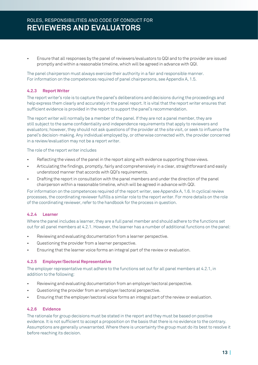• Ensure that all responses by the panel of reviewers/evaluators to QQI and to the provider are issued promptly and within a reasonable timeline, which will be agreed in advance with QQI.

The panel chairperson must always exercise their authority in a fair and responsible manner. For information on the competences required of panel chairpersons, see Appendix A, 1.5.

#### **4.2.3 Report Writer**

The report writer's role is to capture the panel's deliberations and decisions during the proceedings and help express them clearly and accurately in the panel report. It is vital that the report writer ensures that sufficient evidence is provided in the report to support the panel's recommendation.

The report writer will normally be a member of the panel. If they are not a panel member, they are still subject to the same confidentiality and independence requirements that apply to reviewers and evaluators; however, they should not ask questions of the provider at the site visit, or seek to influence the panel's decision-making. Any individual employed by, or otherwise connected with, the provider concerned in a review/evaluation may not be a report writer.

The role of the report writer includes

- Reflecting the views of the panel in the report along with evidence supporting those views.
- Articulating the findings, promptly, fairly and comprehensively in a clear, straightforward and easily understood manner that accords with QQI's requirements.
- Drafting the report in consultation with the panel members and under the direction of the panel chairperson within a reasonable timeline, which will be agreed in advance with QQI.

For information on the competences required of the report writer, see Appendix A, 1.6. In cyclical review processes, the coordinating reviewer fulfills a similar role to the report writer. For more details on the role of the coordinating reviewer, refer to the handbook for the process in question.

#### **4.2.4 Learner**

Where the panel includes a learner, they are a full panel member and should adhere to the functions set out for all panel members at 4.2.1. However, the learner has a number of additional functions on the panel:

- Reviewing and evaluating documentation from a learner perspective.
- Questioning the provider from a learner perspective.
- Ensuring that the learner voice forms an integral part of the review or evaluation.

#### **4.2.5 Employer/Sectoral Representative**

The employer representative must adhere to the functions set out for all panel members at 4.2.1, in addition to the following:

- Reviewing and evaluating documentation from an employer/sectoral perspective.
- Questioning the provider from an employer/sectoral perspective.
- Ensuring that the employer/sectoral voice forms an integral part of the review or evaluation.

#### **4.2.6 Evidence**

The rationale for group decisions must be stated in the report and they must be based on positive evidence. It is not sufficient to accept a proposition on the basis that there is no evidence to the contrary. Assumptions are generally unwarranted. Where there is uncertainty the group must do its best to resolve it before reaching its decision.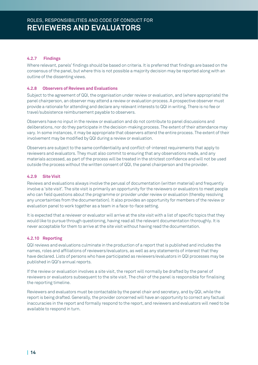#### **4.2.7 Findings**

Where relevant, panels' findings should be based on criteria. It is preferred that findings are based on the consensus of the panel, but where this is not possible a majority decision may be reported along with an outline of the dissenting views.

#### **4.2.8 Observers of Reviews and Evaluations**

Subject to the agreement of QQI, the organisation under review or evaluation, and (where appropriate) the panel chairperson, an observer may attend a review or evaluation process. A prospective observer must provide a rationale for attending and declare any relevant interests to QQI in writing. There is no fee or travel/subsistence reimbursement payable to observers.

Observers have no input in the review or evaluation and do not contribute to panel discussions and deliberations, nor do they participate in the decision-making process. The extent of their attendance may vary. In some instances, it may be appropriate that observers attend the entire process. The extent of their involvement may be modified by QQI during a review or evaluation.

Observers are subject to the same confidentiality and conflict-of-interest requirements that apply to reviewers and evaluators. They must also commit to ensuring that any observations made, and any materials accessed, as part of the process will be treated in the strictest confidence and will not be used outside the process without the written consent of QQI, the panel chairperson and the provider.

#### **4.2.9 Site Visit**

Reviews and evaluations always involve the perusal of documentation (written material) and frequently involve a 'site visit'. The site visit is primarily an opportunity for the reviewers or evaluators to meet people who can field questions about the programme or provider under review or evaluation (thereby resolving any uncertainties from the documentation). It also provides an opportunity for members of the review or evaluation panel to work together as a team in a face-to-face setting.

It is expected that a reviewer or evaluator will arrive at the site visit with a list of specific topics that they would like to pursue through questioning, having read all the relevant documentation thoroughly. It is never acceptable for them to arrive at the site visit without having read the documentation.

#### **4.2.10 Reporting**

QQI reviews and evaluations culminate in the production of a report that is published and includes the names, roles and affiliations of reviewers/evaluators, as well as any statements of interest that they have declared. Lists of persons who have participated as reviewers/evaluators in QQI processes may be published in QQI's annual reports.

If the review or evaluation involves a site visit, the report will normally be drafted by the panel of reviewers or evaluators subsequent to the site visit. The chair of the panel is responsible for finalising the reporting timeline.

Reviewers and evaluators must be contactable by the panel chair and secretary, and by QQI, while the report is being drafted. Generally, the provider concerned will have an opportunity to correct any factual inaccuracies in the report and formally respond to the report, and reviewers and evaluators will need to be available to respond in turn.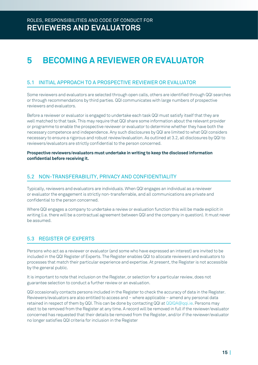# **5 BECOMING A REVIEWER OR EVALUATOR**

### 5.1 INITIAL APPROACH TO A PROSPECTIVE REVIEWER OR EVALUATOR

Some reviewers and evaluators are selected through open calls, others are identified through QQI searches or through recommendations by third parties. QQI communicates with large numbers of prospective reviewers and evaluators.

Before a reviewer or evaluator is engaged to undertake each task QQI must satisfy itself that they are well matched to that task. This may require that QQI share some information about the relevant provider or programme to enable the prospective reviewer or evaluator to determine whether they have both the necessary competence and independence. Any such disclosures by QQI are limited to what QQI considers necessary to ensure a rigorous and robust review/evaluation. As outlined at 3.2, all disclosures by QQI to reviewers/evaluators are strictly confidential to the person concerned.

**Prospective reviewers/evaluators must undertake in writing to keep the disclosed information confidential before receiving it.** 

### 5.2 NON-TRANSFERABILITY, PRIVACY AND CONFIDENTIALITY

Typically, reviewers and evaluators are individuals. When QQI engages an individual as a reviewer or evaluator the engagement is strictly non-transferrable, and all communications are private and confidential to the person concerned.

Where QQI engages a company to undertake a review or evaluation function this will be made explicit in writing (i.e. there will be a contractual agreement between QQI and the company in question). It must never be assumed.

# 5.3 REGISTER OF EXPERTS

Persons who act as a reviewer or evaluator (and some who have expressed an interest) are invited to be included in the QQI Register of Experts. The Register enables QQI to allocate reviewers and evaluators to processes that match their particular experience and expertise. At present, the Register is not accessible by the general public.

It is important to note that inclusion on the Register, or selection for a particular review, does not guarantee selection to conduct a further review or an evaluation.

QQI occasionally contacts persons included in the Register to check the accuracy of data in the Register. Reviewers/evaluators are also entitled to access and – where applicable – amend any personal data retained in respect of them by QQI. This can be done by contacting QQI at QQIQA@qqi.ie. Persons may elect to be removed from the Register at any time. A record will be removed in full if the reviewer/evaluator concerned has requested that their details be removed from the Register, and/or if the reviewer/evaluator no longer satisfies QQI criteria for inclusion in the Register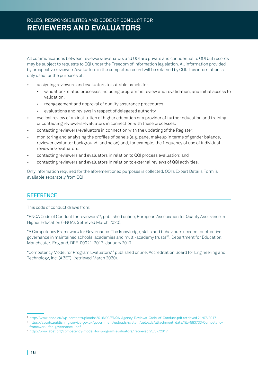# ROLES, RESPONSIBILITIES AND CODE OF CONDUCT FOR **REVIEWERS AND EVALUATORS**

All communications between reviewers/evaluators and QQI are private and confidential to QQI but records may be subject to requests to QQI under the Freedom of Information legislation. All information provided by prospective reviewers/evaluators in the completed record will be retained by QQI. This information is only used for the purposes of:

- assigning reviewers and evaluators to suitable panels for
	- validation-related processes including programme review and revalidation, and initial access to validation,
	- reengagement and approval of quality assurance procedures,
	- evaluations and reviews in respect of delegated authority
- cyclical review of an institution of higher education or a provider of further education and training or contacting reviewers/evaluators in connection with these processes,
- contacting reviewers/evaluators in connection with the updating of the Register;
- monitoring and analysing the profiles of panels (e.g. panel makeup in terms of gender balance, reviewer evaluator background, and so on) and, for example, the frequency of use of individual reviewers/evaluators;
- contacting reviewers and evaluators in relation to QQI process evaluation; and
- contacting reviewers and evaluators in relation to external reviews of QQI activities.

Only information required for the aforementioned purposes is collected. QQI's Expert Details Form is available separately from QQI.

#### **REFERENCE**

This code of conduct draws from:

"ENQA Code of Conduct for reviewers"2 , published online, European Association for Quality Assurance in Higher Education (ENQA), (retrieved March 2020).

"A Competency Framework for Governance. The knowledge, skills and behaviours needed for effective governance in maintained schools, academies and multi-academy trusts"<sup>3</sup> , Department for Education, Manchester, England, DFE-00021-2017, January 2017

"Competency Model for Program Evaluators"<sup>4</sup> published online, Accreditation Board for Engineering and Technology, Inc. (ABET), (retrieved March 2020).

<sup>2</sup> http://www.enqa.eu/wp-content/uploads/2016/09/ENQA-Agency-Reviews\_Code-of-Conduct.pdf retrieved 21/07/2017

<sup>3</sup>https://assets.publishing.service.gov.uk/government/uploads/system/uploads/attachment\_data/file/583733/Competency\_ framework\_for\_governance\_.pdf

<sup>4</sup> http://www.abet.org/competency-model-for-program-evaluators/ retrieved 25/07/2017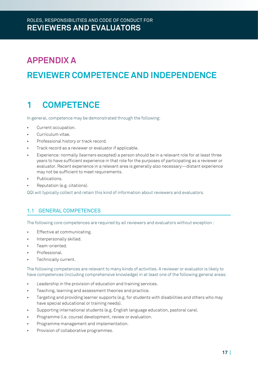# **APPENDIX A REVIEWER COMPETENCE AND INDEPENDENCE**

# **1 COMPETENCE**

In general, competence may be demonstrated through the following:

- Current occupation.
- Curriculum vitae.
- Professional history or track record.
- Track record as a reviewer or evaluator if applicable.
- Experience: normally (learners excepted) a person should be in a relevant role for at least three years to have sufficient experience in that role for the purposes of participating as a reviewer or evaluator. Recent experience in a relevant area is generally also necessary—distant experience may not be sufficient to meet requirements.
- Publications.
- Reputation (e.g. citations).

QQI will typically collect and retain this kind of information about reviewers and evaluators.

# 1.1 GENERAL COMPETENCES

The following core competences are required by all reviewers and evaluators without exception :

- Effective at communicating.
- Interpersonally skilled.
- Team-oriented.
- Professional.
- Technically current.

The following competences are relevant to many kinds of activities. A reviewer or evaluator is likely to have competences (including comprehensive knowledge) in at least one of the following general areas:

- Leadership in the provision of education and training services.
- Teaching, learning and assessment theories and practice.
- Targeting and providing learner supports (e.g. for students with disabilities and others who may have special educational or training needs).
- Supporting international students (e.g. English language education, pastoral care).
- Programme (i.e. course) development, review or evaluation.
- Programme management and implementation.
- Provision of collaborative programmes.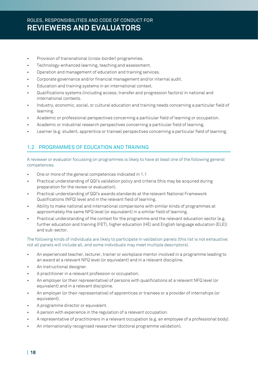- Provision of transnational (cross-border) programmes.
- Technology-enhanced learning, teaching and assessment.
- Operation and management of education and training services.
- Corporate governance and/or financial management and/or internal audit.
- Education and training systems in an international context.
- Qualifications systems (including access, transfer and progression factors) in national and international contexts.
- Industry, economic, social, or cultural education and training needs concerning a particular field of learning.
- Academic or professional perspectives concerning a particular field of learning or occupation.
- Academic or industrial research perspectives concerning a particular field of learning.
- Learner (e.g. student, apprentice or trainee) perspectives concerning a particular field of learning.

# 1.2 PROGRAMMES OF EDUCATION AND TRAINING

A reviewer or evaluator focussing on programmes is likely to have at least one of the following general competences.

- One or more of the general competences indicated in 1.1
- Practical understanding of QQI's validation policy and criteria (this may be acquired during preparation for the review or evaluation).
- Practical understanding of QQI's awards standards at the relevant National Framework Qualifications (NFQ) level and in the relevant field of learning.
- Ability to make national and international comparisons with similar kinds of programmes at approximately the same NFQ level (or equivalent) in a similar field of learning.
- Practical understanding of the context for the programme and the relevant education sector (e.g. further education and training (FET), higher education (HE) and English language education (ELE)) and sub-sector.

The following kinds of individuals are likely to participate in validation panels (this list is not exhaustive: not all panels will include all, and some individuals may meet multiple descriptors).

- An experienced teacher, lecturer, trainer or workplace mentor involved in a programme leading to an award at a relevant NFQ level (or equivalent) and in a relevant discipline.
- An instructional designer.
- A practitioner in a relevant profession or occupation.
- An employer (or their representative) of persons with qualifications at a relevant NFQ level (or equivalent) and in a relevant discipline.
- An employer (or their representative) of apprentices or trainees or a provider of internships (or equivalent).
- A programme director or equivalent.
- A person with experience in the regulation of a relevant occupation.
- A representative of practitioners in a relevant occupation (e.g. an employee of a professional body).
- An internationally recognised researcher (doctoral programme validation).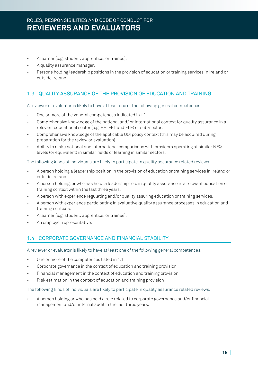- A learner (e.g. student, apprentice, or trainee).
- A quality assurance manager.
- Persons holding leadership positions in the provision of education or training services in Ireland or outside Ireland.

# 1.3 QUALITY ASSURANCE OF THE PROVISION OF EDUCATION AND TRAINING

A reviewer or evaluator is likely to have at least one of the following general competences.

- One or more of the general competences indicated in1.1
- Comprehensive knowledge of the national and/ or international context for quality assurance in a relevant educational sector (e.g. HE, FET and ELE) or sub-sector.
- Comprehensive knowledge of the applicable QQI policy context (this may be acquired during preparation for the review or evaluation).
- Ability to make national and international comparisons with providers operating at similar NFQ levels (or equivalent) in similar fields of learning in similar sectors.

The following kinds of individuals are likely to participate in quality assurance related reviews.

- A person holding a leadership position in the provision of education or training services in Ireland or outside Ireland
- A person holding, or who has held, a leadership role in quality assurance in a relevant education or training context within the last three years.
- A person with experience regulating and/or quality assuring education or training services.
- A person with experience participating in evaluative quality assurance processes in education and training contexts.
- A learner (e.g. student, apprentice, or trainee).
- An employer representative.

### 1.4 CORPORATE GOVERNANCE AND FINANCIAL STABILITY

A reviewer or evaluator is likely to have at least one of the following general competences.

- One or more of the competences listed in 1.1
- Corporate governance in the context of education and training provision
- Financial management in the context of education and training provision
- Risk estimation in the context of education and training provision

The following kinds of individuals are likely to participate in quality assurance related reviews.

• A person holding or who has held a role related to corporate governance and/or financial management and/or internal audit in the last three years.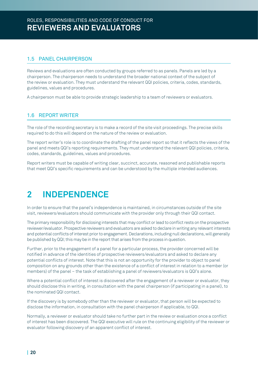# 1.5 PANEL CHAIRPERSON

Reviews and evaluations are often conducted by groups referred to as panels. Panels are led by a chairperson. The chairperson needs to understand the broader national context of the subject of the review or evaluation. They must understand the relevant QQI policies, criteria, codes, standards, guidelines, values and procedures.

A chairperson must be able to provide strategic leadership to a team of reviewers or evaluators.

# 1.6 REPORT WRITER

The role of the recording secretary is to make a record of the site visit proceedings. The precise skills required to do this will depend on the nature of the review or evaluation.

The report writer's role is to coordinate the drafting of the panel report so that it reflects the views of the panel and meets QQI's reporting requirements. They must understand the relevant QQI policies, criteria, codes, standards, guidelines, values and procedures.

Report writers must be capable of writing clear, succinct, accurate, reasoned and publishable reports that meet QQI's specific requirements and can be understood by the multiple intended audiences.

# **2 INDEPENDENCE**

In order to ensure that the panel's independence is maintained, in circumstances outside of the site visit, reviewers/evaluators should communicate with the provider only through their QQI contact.

The primary responsibility for disclosing interests that may conflict or lead to conflict rests on the prospective reviewer/evaluator. Prospective reviewers and evaluators are asked to declare in writing any relevantinterests and potential conflicts of interest prior to engagement. Declarations, including null declarations, will generally be published by  $QQI$ ; this may be in the report that arises from the process in question.

Further, prior to the engagement of a panel for a particular process, the provider concerned will be notified in advance of the identities of prospective reviewers/evaluators and asked to declare any potential conflicts of interest. Note that this is not an opportunity for the provider to object to panel composition on any grounds other than the existence of a conflict of interest in relation to a member (or members) of the panel – the task of establishing a panel of reviewers/evaluators is QQI's alone.

Where a potential conflict of interest is discovered after the engagement of a reviewer or evaluator, they should disclose this in writing, in consultation with the panel chairperson (if participating in a panel), to the nominated QQI contact.

If the discovery is by somebody other than the reviewer or evaluator, that person will be expected to disclose the information, in consultation with the panel chairperson if applicable, to QQI.

Normally, a reviewer or evaluator should take no further part in the review or evaluation once a conflict of interest has been discovered. The QQI executive will rule on the continuing eligibility of the reviewer or evaluator following discovery of an apparent conflict of interest.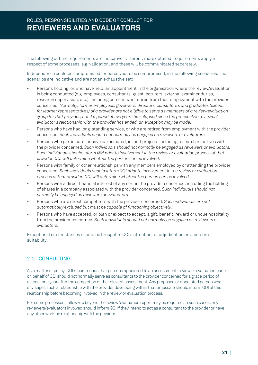The following outline requirements are indicative. Different, more detailed, requirements apply in respect of some processes, e.g. validation, and these will be communicated separately. 

Independence could be compromised, or perceived to be compromised, in the following scenarios. The scenarios are indicative and are not an exhaustive set:

- Persons holding, or who have held, an appointment in the organisation where the review/evaluation is being conducted (e.g. employees, consultants, guest lecturers, external examiner duties, research supervision, etc.), including persons who retired from their employment with the provider concerned. *Normally, former employees, governors, directors, consultants and graduates (except for learner representatives) of a provider are not eligible to serve as members of a review/evaluation group for that provider, but if a period of five years has elapsed since the prospective reviewer/ evaluator's relationship with the provider has ended, an exception may be made.*
- Persons who have had long-standing service, or who are retired from employment with the provider concerned. *Such individuals should not normally be engaged as reviewers or evaluators.*
- Persons who participate, or have participated, in joint projects including research initiatives with the provider concerned. *Such individuals should not normally be engaged as reviewers or evaluators. Such individuals should inform QQI prior to involvement in the review or evaluation process of that provider. QQI will determine whether the person can be involved.*
- Persons with family or other relationships with any members employed by or attending the provider concerned. *Such individuals should inform QQI prior to involvement in the review or evaluation process of that provider. QQI will determine whether the person can be involved.*
- Persons with a direct financial interest of any sort in the provider concerned, including the holding of shares in a company associated with the provider concerned. *Such individuals should not normally be engaged as reviewers or evaluators.*
- Persons who are direct competitors with the provider concerned. *Such individuals are not automatically excluded but must be capable of functioning objectively.*
- Persons who have accepted, or plan or expect to accept, a gift, benefit, reward or undue hospitality from the provider concerned. *Such individuals should not normally be engaged as reviewers or evaluators.*

Exceptional circumstances should be brought to QQI's attention for adjudication on a person's suitability.

# 2.1 CONSULTING

As a matter of policy, QQI recommends that persons appointed to an assessment, review or evaluation panel on behalf of QQI should not normally serve as consultants to the provider concerned for a grace period of at least one year after the completion of the relevant assessment. Any proposed or appointed person who envisages such a relationship with the provider developing within that timescale should inform QQI of this relationship before becoming involved in the review or evaluation process.

For some processes, follow-up beyond the review/evaluation report may be required. In such cases, any reviewers/evaluators involved should inform QQI if they intend to act as a consultant to the provider or have any other working relationship with the provider.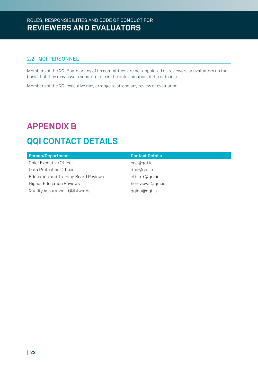# 2.2 QQI PERSONNEL

Members of the QQI Board or any of its committees are not appointed as reviewers or evaluators on the basis that they may have a separate role in the determination of the outcome.

Members of the QQI executive may arrange to attend any review or evaluation.

# **APPENDIX B**

# **QQI CONTACT DETAILS**

| <b>Person/Department</b>             | <b>Contact Details</b> |
|--------------------------------------|------------------------|
| Chief Executive Officer              | ceo@qqi.ie             |
| Data Protection Officer              | dpo@qqi.ie             |
| Education and Training Board Reviews | etbm-r@qqi.ie          |
| <b>Higher Education Reviews</b>      | hereviews@qqi.ie       |
| Quality Assurance - QQI Awards       | qqiqa@qqi.ie           |